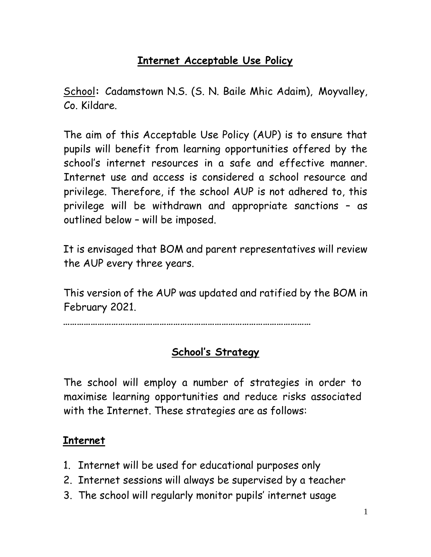## **Internet Acceptable Use Policy**

School**:** Cadamstown N.S. (S. N. Baile Mhic Adaim), Moyvalley, Co. Kildare.

The aim of this Acceptable Use Policy (AUP) is to ensure that pupils will benefit from learning opportunities offered by the school's internet resources in a safe and effective manner. Internet use and access is considered a school resource and privilege. Therefore, if the school AUP is not adhered to, this privilege will be withdrawn and appropriate sanctions – as outlined below – will be imposed.

It is envisaged that BOM and parent representatives will review the AUP every three years.

This version of the AUP was updated and ratified by the BOM in February 2021.

**………………………………………………………………………………………………** 

## **School's Strategy**

The school will employ a number of strategies in order to maximise learning opportunities and reduce risks associated with the Internet. These strategies are as follows:

## **Internet**

- 1. Internet will be used for educational purposes only
- 2. Internet sessions will always be supervised by a teacher
- 3. The school will regularly monitor pupils' internet usage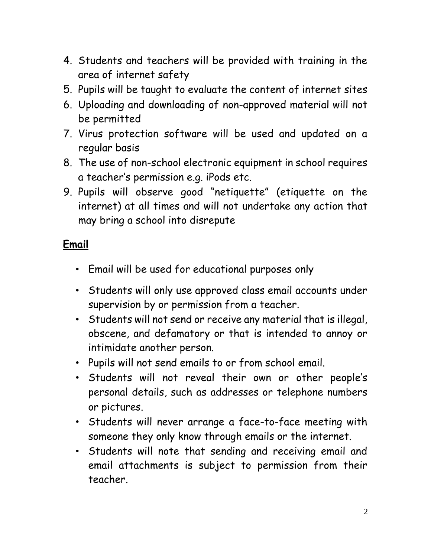- 4. Students and teachers will be provided with training in the area of internet safety
- 5. Pupils will be taught to evaluate the content of internet sites
- 6. Uploading and downloading of non-approved material will not be permitted
- 7. Virus protection software will be used and updated on a regular basis
- 8. The use of non-school electronic equipment in school requires a teacher's permission e.g. iPods etc.
- 9. Pupils will observe good "netiquette" (etiquette on the internet) at all times and will not undertake any action that may bring a school into disrepute

## **Email**

- Email will be used for educational purposes only
- Students will only use approved class email accounts under supervision by or permission from a teacher.
- Students will not send or receive any material that is illegal, obscene, and defamatory or that is intended to annoy or intimidate another person.
- Pupils will not send emails to or from school email.
- Students will not reveal their own or other people's personal details, such as addresses or telephone numbers or pictures.
- Students will never arrange a face-to-face meeting with someone they only know through emails or the internet.
- Students will note that sending and receiving email and email attachments is subject to permission from their teacher.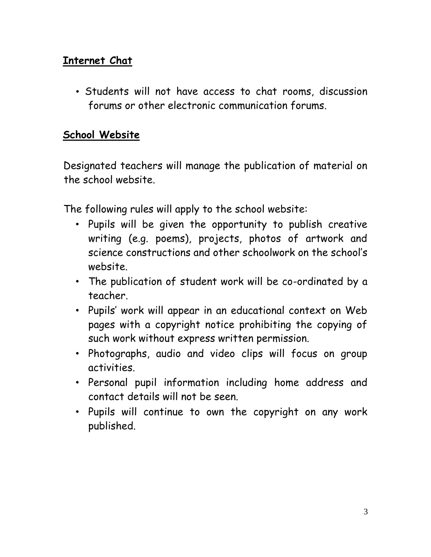## **Internet Chat**

• Students will not have access to chat rooms, discussion forums or other electronic communication forums.

## **School Website**

Designated teachers will manage the publication of material on the school website.

The following rules will apply to the school website:

- Pupils will be given the opportunity to publish creative writing (e.g. poems), projects, photos of artwork and science constructions and other schoolwork on the school's website.
- The publication of student work will be co-ordinated by a teacher.
- Pupils' work will appear in an educational context on Web pages with a copyright notice prohibiting the copying of such work without express written permission.
- Photographs, audio and video clips will focus on group activities.
- Personal pupil information including home address and contact details will not be seen.
- Pupils will continue to own the copyright on any work published.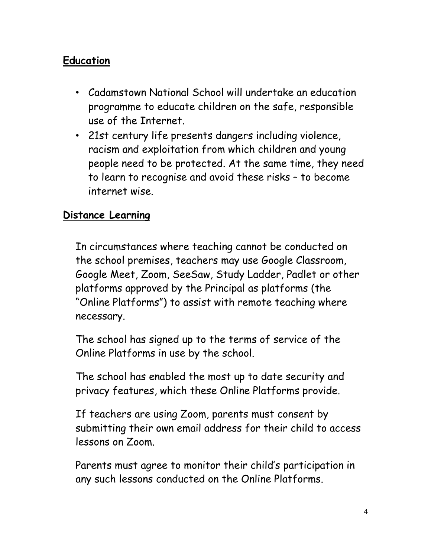## **Education**

- Cadamstown National School will undertake an education programme to educate children on the safe, responsible use of the Internet.
- 21st century life presents dangers including violence, racism and exploitation from which children and young people need to be protected. At the same time, they need to learn to recognise and avoid these risks – to become internet wise.

## **Distance Learning**

In circumstances where teaching cannot be conducted on the school premises, teachers may use Google Classroom, Google Meet, Zoom, SeeSaw, Study Ladder, Padlet or other platforms approved by the Principal as platforms (the "Online Platforms") to assist with remote teaching where necessary.

The school has signed up to the terms of service of the Online Platforms in use by the school.

The school has enabled the most up to date security and privacy features, which these Online Platforms provide.

If teachers are using Zoom, parents must consent by submitting their own email address for their child to access lessons on Zoom.

Parents must agree to monitor their child's participation in any such lessons conducted on the Online Platforms.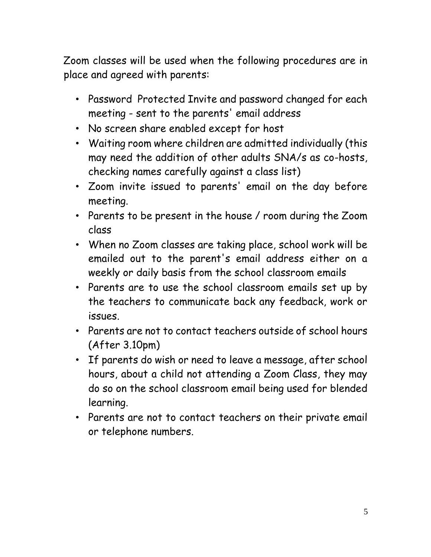Zoom classes will be used when the following procedures are in place and agreed with parents:

- Password Protected Invite and password changed for each meeting - sent to the parents' email address
- No screen share enabled except for host
- Waiting room where children are admitted individually (this may need the addition of other adults SNA/s as co-hosts, checking names carefully against a class list)
- Zoom invite issued to parents' email on the day before meeting.
- Parents to be present in the house / room during the Zoom class
- When no Zoom classes are taking place, school work will be emailed out to the parent's email address either on a weekly or daily basis from the school classroom emails
- Parents are to use the school classroom emails set up by the teachers to communicate back any feedback, work or issues.
- Parents are not to contact teachers outside of school hours (After 3.10pm)
- If parents do wish or need to leave a message, after school hours, about a child not attending a Zoom Class, they may do so on the school classroom email being used for blended learning.
- Parents are not to contact teachers on their private email or telephone numbers.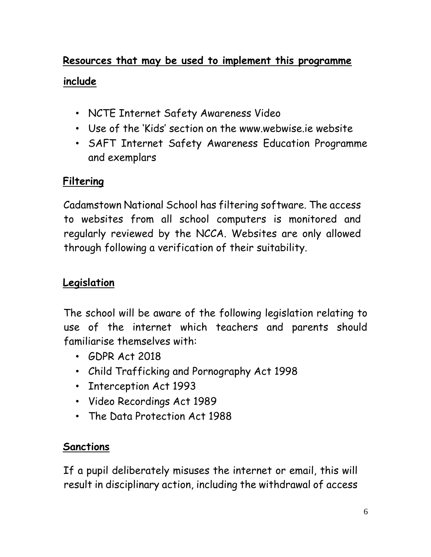# **Resources that may be used to implement this programme include**

- NCTE Internet Safety Awareness Video
- Use of the 'Kids' section on the [www.webwise.ie](http://www.webwise.ie/) website
- SAFT Internet Safety Awareness Education Programme and exemplars

## **Filtering**

Cadamstown National School has filtering software. The access to websites from all school computers is monitored and regularly reviewed by the NCCA. Websites are only allowed through following a verification of their suitability.

## **Legislation**

The school will be aware of the following legislation relating to use of the internet which teachers and parents should familiarise themselves with:

- GDPR Act 2018
- Child Trafficking and Pornography Act 1998
- Interception Act 1993
- Video Recordings Act 1989
- The Data Protection Act 1988

## **Sanctions**

If a pupil deliberately misuses the internet or email, this will result in disciplinary action, including the withdrawal of access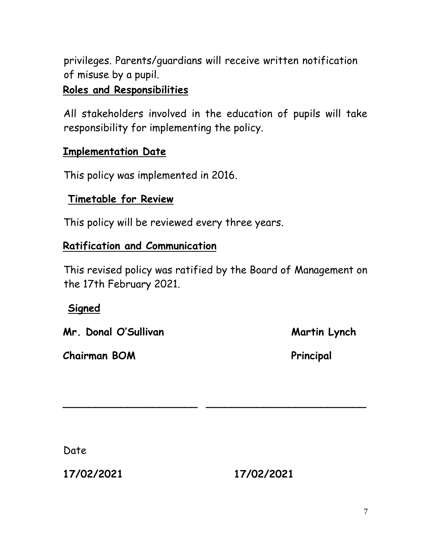privileges. Parents/guardians will receive written notification of misuse by a pupil.

## **Roles and Responsibilities**

All stakeholders involved in the education of pupils will take responsibility for implementing the policy.

### **Implementation Date**

This policy was implemented in 2016.

## **Timetable for Review**

This policy will be reviewed every three years.

### **Ratification and Communication**

This revised policy was ratified by the Board of Management on the 17th February 2021.

**\_\_\_\_\_\_\_\_\_\_\_\_\_\_\_\_\_\_\_\_\_ \_\_\_\_\_\_\_\_\_\_\_\_\_\_\_\_\_\_\_\_\_\_\_\_\_** 

### **Signed**

**Mr. Donal O'Sullivan Martin Lynch Martin Lynch** 

**Chairman BOM Principal** 

Date

**17/02/2021 17/02/2021**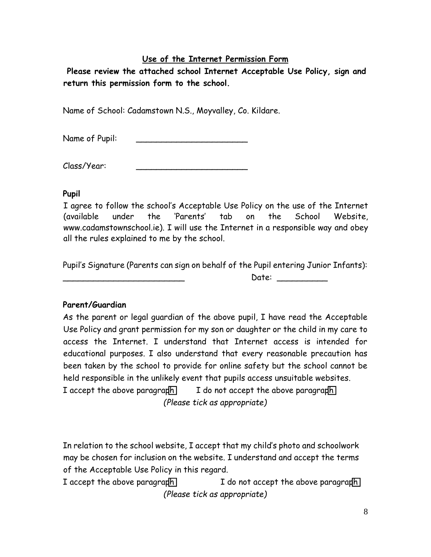#### **Use of the Internet Permission Form**

**Please review the attached school Internet Acceptable Use Policy, sign and return this permission form to the school.** 

Name of School: Cadamstown N.S., Moyvalley, Co. Kildare.

Name of Pupil:

Class/Year: \_\_\_\_\_\_\_\_\_\_\_\_\_\_\_\_\_\_\_\_\_\_

#### **Pupil**

I agree to follow the school's Acceptable Use Policy on the use of the Internet (available under the 'Parents' tab on the School Website, www.cadamstownschool.ie). I will use the Internet in a responsible way and obey all the rules explained to me by the school.

Pupil's Signature (Parents can sign on behalf of the Pupil entering Junior Infants):

\_\_\_\_\_\_\_\_\_\_\_\_\_\_\_\_\_\_\_\_\_\_\_\_ Date: \_\_\_\_\_\_\_\_\_\_

#### **Parent/Guardian**

As the parent or legal guardian of the above pupil, I have read the Acceptable Use Policy and grant permission for my son or daughter or the child in my care to access the Internet. I understand that Internet access is intended for educational purposes. I also understand that every reasonable precaution has been taken by the school to provide for online safety but the school cannot be held responsible in the unlikely event that pupils access unsuitable websites. I accept the above paragraph  $\Box$  I do not accept the above paragraph *(Please tick as appropriate)* 

In relation to the school website, I accept that my child's photo and schoolwork may be chosen for inclusion on the website. I understand and accept the terms of the Acceptable Use Policy in this regard.

I accept the above paragraph  $I$  do not accept the above paragraph *(Please tick as appropriate)*